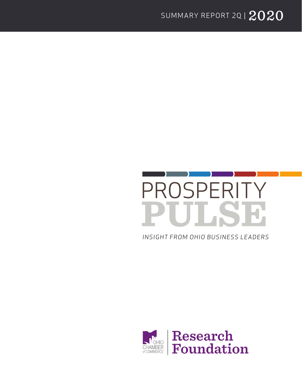

*INSIGHT FROM OHIO BUSINESS LEADERS*

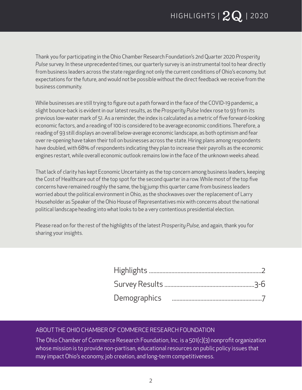Thank you for participating in the Ohio Chamber Research Foundation's 2nd Quarter 2020 *Prosperity Pulse* survey. In these unprecedented times, our quarterly survey is an instrumental tool to hear directly from business leaders across the state regarding not only the current conditions of Ohio's economy, but expectations for the future, and would not be possible without the direct feedback we receive from the business community.

While businesses are still trying to figure out a path forward in the face of the COVID-19 pandemic, a slight bounce-back is evident in our latest results, as the *Prosperity Pulse* Index rose to 93 from its previous low-water mark of 51. As a reminder, the index is calculated as a metric of five forward-looking economic factors, and a reading of 100 is considered to be average economic conditions. Therefore, a reading of 93 still displays an overall below-average economic landscape, as both optimism and fear over re-opening have taken their toll on businesses across the state. Hiring plans among respondents have doubled, with 68% of respondents indicating they plan to increase their payrolls as the economic engines restart, while overall economic outlook remains low in the face of the unknown weeks ahead.

That lack of clarity has kept Economic Uncertainty as the top concern among business leaders, keeping the Cost of Healthcare out of the top spot for the second quarter in a row. While most of the top five concerns have remained roughly the same, the big jump this quarter came from business leaders worried about the political environment in Ohio, as the shockwaves over the replacement of Larry Householder as Speaker of the Ohio House of Representatives mix with concerns about the national political landscape heading into what looks to be a very contentious presidential election.

Please read on for the rest of the highlights of the latest *Prosperity Pulse,* and again, thank you for sharing your insights.

#### ABOUT THE OHIO CHAMBER OF COMMERCE RESEARCH FOUNDATION

The Ohio Chamber of Commerce Research Foundation, Inc. is a 501(c)(3) nonprofit organization whose mission is to provide non-partisan, educational resources on public policy issues that may impact Ohio's economy, job creation, and long-term competitiveness.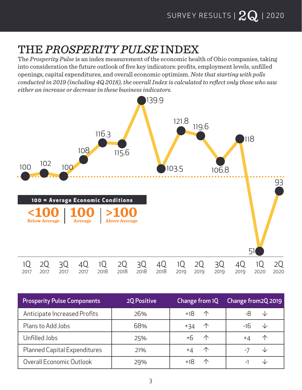## THE *PROSPERITY PULSE* INDEX

The *Prosperity Pulse* is an index measurement of the economic health of Ohio companies, taking into consideration the future outlook of five key indicators: profits, employment levels, unfilled openings, capital expenditures, and overall economic optimism. *Note that starting with polls conducted in 2019 (including 4Q 2018), the overall Index is calculated to reflect only those who saw either an increase or decrease in these business indicators.*



| <b>Prosperity Pulse Components</b> | <b>2Q Positive</b> | Change from 1Q    | Change from 2Q 2019 |
|------------------------------------|--------------------|-------------------|---------------------|
| Anticipate Increased Profits       | 26%                | $+18$ 1           | NZ.                 |
| Plans to Add Jobs                  | 68%                | $+34$ 1           | -16<br>NZ.          |
| Unfilled Jobs                      | 25%                | +6<br>$\bigwedge$ | 小<br>+4             |
| Planned Capital Expenditures       | 21%                | 个<br>+4           |                     |
| Overall Economic Outlook           | 29%                | $\curvearrowleft$ |                     |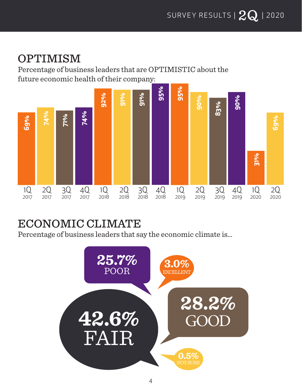### OPTIMISM

Percentage of business leaders that are OPTIMISTIC about the future economic health of their company:



ECONOMIC CLIMATE<br>Percentage of business leaders that say the economic climate is...

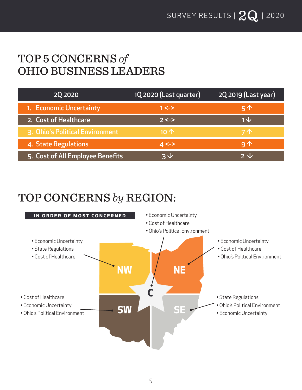### TOP 5 CONCERNS *of* OHIO BUSINESS LEADERS

| 20 20 20                         | 1Q 2020 (Last quarter) | 2Q 2019 (Last year) |
|----------------------------------|------------------------|---------------------|
| 1. Economic Uncertainty          | $1 < ->$               | $5^$                |
| 2. Cost of Healthcare            | $2 < ->$               | $1 \nightharpoonup$ |
| 3. Ohio's Political Environment  | $10+$                  | <b>7个</b>           |
| 4. State Regulations             | $4 < ->$               | 9 <sub>0</sub>      |
| 5. Cost of All Employee Benefits | ヌル                     | っし                  |

### TOP CONCERNS *by* REGION:

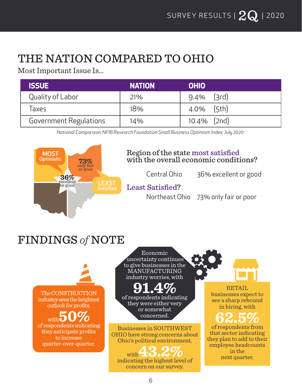## THE NATION COMPARED TO OHIO

Most Important Issue Is…

| <b>ISSUE</b>           | <b>NATION</b> | <b>OHIO</b>    |
|------------------------|---------------|----------------|
| Quality of Labor       | 21%           | $9.4\%$ (3rd)  |
| Taxes                  | 18%           | $4.0\%$ (5th)  |
| Government Regulations | 14%           | $10.4\%$ (2nd) |

*National Comparison: NFIB Research Foundation Small Business Optimism Index, July 2020*



#### Region of the state most satisfied with the overall economic conditions?

Central Ohio 36% excellent or good

### Least Satisfied?

Northeast Ohio 73% only fair or poor

## FINDINGS *of* NOTE

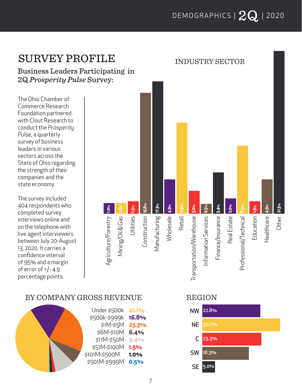INDUSTRY SECTOR

### SURVEY PROFILE

Business Leaders Participating in 2Q *Prosperity Pulse* Survey:

The Ohio Chamber of Commerce Research Foundation partnered with Clout Research to conduct the *Prosperity Pulse*, a quarterly survey of business leaders in various sectors across the State of Ohio regarding the strength of their companies and the state economy.

The survey included 404 respondents who completed survey interviews online and on the telephone with live agent interviewers between July 20-August 13, 2020. It carries a confidence interval of 95% and a margin of error of  $+/- 4.9$ percentage points.



#### BY COMPANY GROSS REVENUE REGION

| Under \$500k  | 41.1% |
|---------------|-------|
| \$500k-\$999k | 16.8% |
| $$1M-55M$     | 23.3% |
| \$6M-\$10M    | 6.4%  |
| $$11M-$50M$   | 9.4%  |
| \$51M-\$100M  | 1.5%  |
| \$101M-\$500M | 1.0%  |
| \$501M-\$999M | 0.5%  |
|               |       |